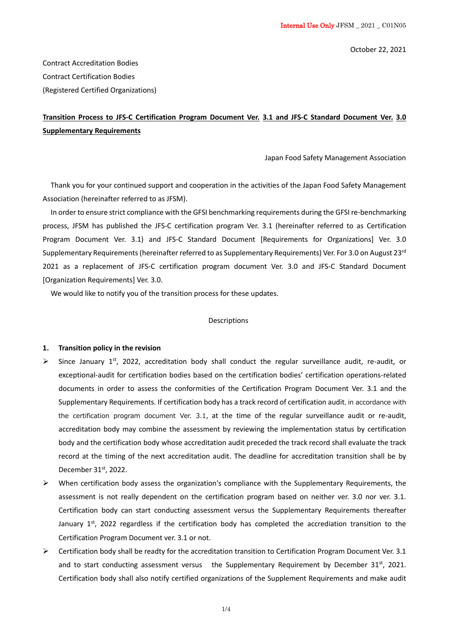October 22, 2021

Contract Accreditation Bodies Contract Certification Bodies (Registered Certified Organizations)

# **Transition Process to JFS-C Certification Program Document Ver. 3.1 and JFS-C Standard Document Ver. 3.0 Supplementary Requirements**

Japan Food Safety Management Association

Thank you for your continued support and cooperation in the activities of the Japan Food Safety Management Association (hereinafter referred to as JFSM).

In order to ensure strict compliance with the GFSI benchmarking requirements during the GFSI re-benchmarking process, JFSM has published the JFS-C certification program Ver. 3.1 (hereinafter referred to as Certification Program Document Ver. 3.1) and JFS-C Standard Document [Requirements for Organizations] Ver. 3.0 Supplementary Requirements (hereinafter referred to as Supplementary Requirements) Ver. For 3.0 on August 23<sup>rd</sup> 2021 as a replacement of JFS-C certification program document Ver. 3.0 and JFS-C Standard Document [Organization Requirements] Ver. 3.0.

We would like to notify you of the transition process for these updates.

#### Descriptions

### **1. Transition policy in the revision**

- ➢ Since January 1st, 2022, accreditation body shall conduct the regular surveillance audit, re-audit, or exceptional-audit for certification bodies based on the certification bodies' certification operations-related documents in order to assess the conformities of the Certification Program Document Ver. 3.1 and the Supplementary Requirements. If certification body has a track record of certification audit, in accordance with the certification program document Ver. 3.1, at the time of the regular surveillance audit or re-audit, accreditation body may combine the assessment by reviewing the implementation status by certification body and the certification body whose accreditation audit preceded the track record shall evaluate the track record at the timing of the next accreditation audit. The deadline for accreditation transition shall be by December 31st, 2022.
- $\triangleright$  When certification body assess the organization's compliance with the Supplementary Requirements, the assessment is not really dependent on the certification program based on neither ver. 3.0 nor ver. 3.1. Certification body can start conducting assessment versus the Supplementary Requirements thereafter January 1<sup>st</sup>, 2022 regardless if the certification body has completed the accrediation transition to the Certification Program Document ver. 3.1 or not.
- ➢ Certification body shall be readty for the accreditation transition to Certification Program Document Ver. 3.1 and to start conducting assessment versus the Supplementary Requirement by December  $31<sup>st</sup>$ , 2021. Certification body shall also notify certified organizations of the Supplement Requirements and make audit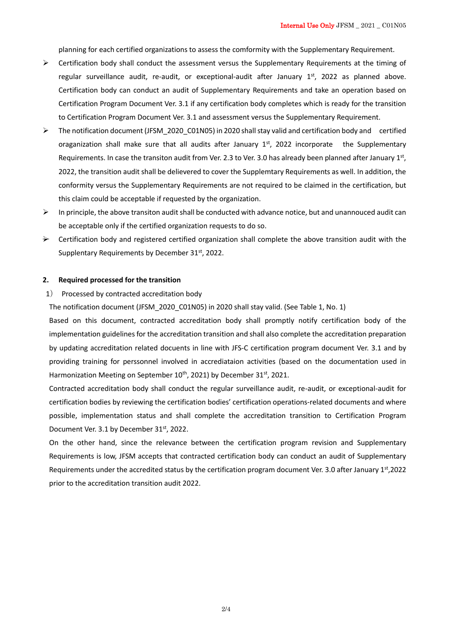planning for each certified organizations to assess the comformity with the Supplementary Requirement.

- ➢ Certification body shall conduct the assessment versus the Supplementary Requirements at the timing of regular surveillance audit, re-audit, or exceptional-audit after January 1<sup>st</sup>, 2022 as planned above. Certification body can conduct an audit of Supplementary Requirements and take an operation based on Certification Program Document Ver. 3.1 if any certification body completes which is ready for the transition to Certification Program Document Ver. 3.1 and assessment versus the Supplementary Requirement.
- ➢ The notification document (JFSM\_2020\_C01N05) in 2020 shall stay valid and certification body and certified oraganization shall make sure that all audits after January  $1<sup>st</sup>$ , 2022 incorporate the Supplementary Requirements. In case the transiton audit from Ver. 2.3 to Ver. 3.0 has already been planned after January 1st, 2022, the transition audit shall be delievered to cover the Supplemtary Requirements as well. In addition, the conformity versus the Supplementary Requirements are not required to be claimed in the certification, but this claim could be acceptable if requested by the organization.
- $\triangleright$  In principle, the above transiton audit shall be conducted with advance notice, but and unannouced audit can be acceptable only if the certified organization requests to do so.
- $\rightarrow$  Certification body and registered certified organization shall complete the above transition audit with the Supplentary Requirements by December 31st, 2022.

### **2. Required processed for the transition**

1) Processed by contracted accreditation body

The notification document (JFSM\_2020\_C01N05) in 2020 shall stay valid. (See Table 1, No. 1)

Based on this document, contracted accreditation body shall promptly notify certification body of the implementation guidelines for the accreditation transition and shall also complete the accreditation preparation by updating accreditation related docuents in line with JFS-C certification program document Ver. 3.1 and by providing training for perssonnel involved in accrediataion activities (based on the documentation used in Harmonization Meeting on September 10<sup>th</sup>, 2021) by December 31<sup>st</sup>, 2021.

Contracted accreditation body shall conduct the regular surveillance audit, re-audit, or exceptional-audit for certification bodies by reviewing the certification bodies' certification operations-related documents and where possible, implementation status and shall complete the accreditation transition to Certification Program Document Ver. 3.1 by December 31st, 2022.

On the other hand, since the relevance between the certification program revision and Supplementary Requirements is low, JFSM accepts that contracted certification body can conduct an audit of Supplementary Requirements under the accredited status by the certification program document Ver. 3.0 after January 1st, 2022 prior to the accreditation transition audit 2022.

2/4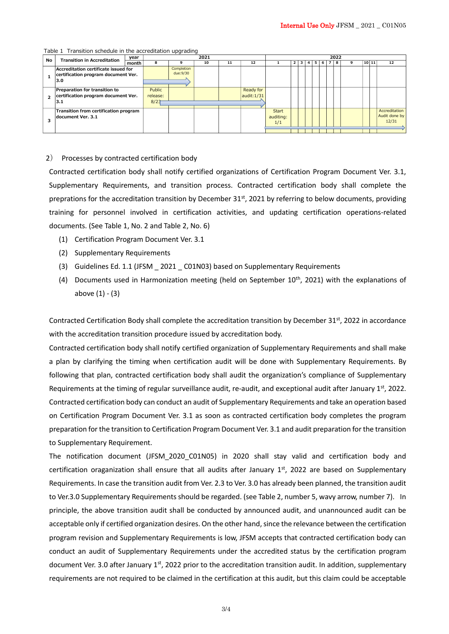| No | <b>Transition in Accreditation</b>                                                 | year  | 2021                       |                         |    |    |                         | 2022                             |   |   |   |    |   |   |    |   |  |       |                                         |
|----|------------------------------------------------------------------------------------|-------|----------------------------|-------------------------|----|----|-------------------------|----------------------------------|---|---|---|----|---|---|----|---|--|-------|-----------------------------------------|
|    |                                                                                    | month | 8                          | 9                       | 10 | 11 | 12                      |                                  | 2 | 3 | 4 | 5. | 6 | 7 | -8 | 9 |  | 10 11 | 12                                      |
|    | Accreditation certificate issued for<br>certification program document Ver.<br>3.0 |       |                            | Completion<br>due: 9/30 |    |    |                         |                                  |   |   |   |    |   |   |    |   |  |       |                                         |
|    | Preparation for transition to<br>certification program document Ver.<br>3.1        |       | Public<br>release:<br>8/23 |                         |    |    | Ready for<br>audit:1/31 |                                  |   |   |   |    |   |   |    |   |  |       |                                         |
|    | Transition from certification program<br>document Ver. 3.1                         |       |                            |                         |    |    |                         | <b>Start</b><br>auditing:<br>1/1 |   |   |   |    |   |   |    |   |  |       | Accreditation<br>Audit done by<br>12/31 |

#### Table 1 Transition schedule in the accreditation upgrading

### 2) Processes by contracted certification body

Contracted certification body shall notify certified organizations of Certification Program Document Ver. 3.1, Supplementary Requirements, and transition process. Contracted certification body shall complete the preprations for the accreditation transition by December 31<sup>st</sup>, 2021 by referring to below documents, providing training for personnel involved in certification activities, and updating certification operations-related documents. (See Table 1, No. 2 and Table 2, No. 6)

- (1) Certification Program Document Ver. 3.1
- (2) Supplementary Requirements
- (3) Guidelines Ed. 1.1 (JFSM \_ 2021 \_ C01N03) based on Supplementary Requirements
- (4) Documents used in Harmonization meeting (held on September  $10^{th}$ , 2021) with the explanations of above (1) - (3)

Contracted Certification Body shall complete the accreditation transition by December  $31^{st}$ , 2022 in accordance with the accreditation transition procedure issued by accreditation body.

Contracted certification body shall notify certified organization of Supplementary Requirements and shall make a plan by clarifying the timing when certification audit will be done with Supplementary Requirements. By following that plan, contracted certification body shall audit the organization's compliance of Supplementary Requirements at the timing of regular surveillance audit, re-audit, and exceptional audit after January  $1<sup>st</sup>$ , 2022. Contracted certification body can conduct an audit of Supplementary Requirements and take an operation based on Certification Program Document Ver. 3.1 as soon as contracted certification body completes the program preparation for the transition to Certification Program Document Ver. 3.1 and audit preparation for the transition to Supplementary Requirement.

The notification document (JFSM\_2020\_C01N05) in 2020 shall stay valid and certification body and certification oraganization shall ensure that all audits after January  $1<sup>st</sup>$ , 2022 are based on Supplementary Requirements. In case the transition audit from Ver. 2.3 to Ver. 3.0 has already been planned, the transition audit to Ver.3.0 Supplementary Requirements should be regarded. (see Table 2, number 5, wavy arrow, number 7). In principle, the above transition audit shall be conducted by announced audit, and unannounced audit can be acceptable only if certified organization desires. On the other hand, since the relevance between the certification program revision and Supplementary Requirements is low, JFSM accepts that contracted certification body can conduct an audit of Supplementary Requirements under the accredited status by the certification program document Ver. 3.0 after January  $1<sup>st</sup>$ , 2022 prior to the accreditation transition audit. In addition, supplementary requirements are not required to be claimed in the certification at this audit, but this claim could be acceptable

3/4